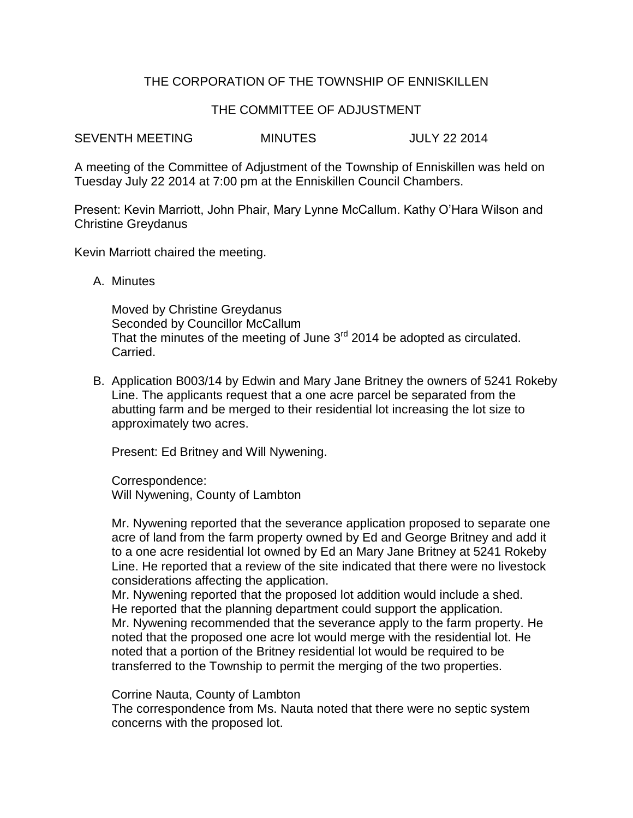## THE CORPORATION OF THE TOWNSHIP OF ENNISKILLEN

## THE COMMITTEE OF ADJUSTMENT

SEVENTH MEETING MINUTES JULY 22 2014

A meeting of the Committee of Adjustment of the Township of Enniskillen was held on Tuesday July 22 2014 at 7:00 pm at the Enniskillen Council Chambers.

Present: Kevin Marriott, John Phair, Mary Lynne McCallum. Kathy O'Hara Wilson and Christine Greydanus

Kevin Marriott chaired the meeting.

A. Minutes

Moved by Christine Greydanus Seconded by Councillor McCallum That the minutes of the meeting of June  $3<sup>rd</sup>$  2014 be adopted as circulated. Carried.

B. Application B003/14 by Edwin and Mary Jane Britney the owners of 5241 Rokeby Line. The applicants request that a one acre parcel be separated from the abutting farm and be merged to their residential lot increasing the lot size to approximately two acres.

Present: Ed Britney and Will Nywening.

Correspondence: Will Nywening, County of Lambton

Mr. Nywening reported that the severance application proposed to separate one acre of land from the farm property owned by Ed and George Britney and add it to a one acre residential lot owned by Ed an Mary Jane Britney at 5241 Rokeby Line. He reported that a review of the site indicated that there were no livestock considerations affecting the application.

Mr. Nywening reported that the proposed lot addition would include a shed. He reported that the planning department could support the application. Mr. Nywening recommended that the severance apply to the farm property. He noted that the proposed one acre lot would merge with the residential lot. He noted that a portion of the Britney residential lot would be required to be transferred to the Township to permit the merging of the two properties.

Corrine Nauta, County of Lambton

The correspondence from Ms. Nauta noted that there were no septic system concerns with the proposed lot.